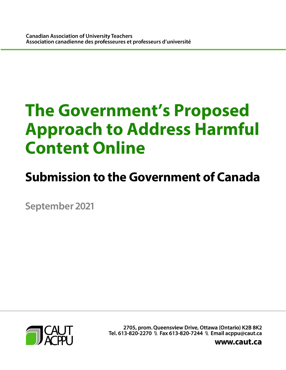# **The Government's Proposed Approach to Address Harmful Content Online**

## **Submission to the Government of Canada**

**September 2021** 



2705, prom. Queensview Drive, Ottawa (Ontario) K2B 8K2 Tel. 613-820-2270 \\ Fax 613-820-7244 \\ Email acppu@caut.ca

www.caut.ca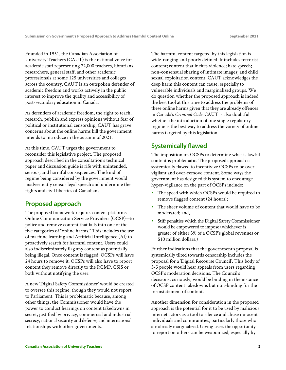Founded in 1951, the Canadian Association of University Teachers (CAUT) is the national voice for academic staff representing 72,000 teachers, librarians, researchers, general staff, and other academic professionals at some 125 universities and colleges across the country. CAUT is an outspoken defender of academic freedom and works actively in the public interest to improve the quality and accessibility of post-secondary education in Canada.

As defenders of academic freedom, the right to teach, research, publish and express opinions without fear of political or institutional censorship, CAUT has grave concerns about the online harms bill the government intends to introduce in the autumn of 2021.

At this time, CAUT urges the government to reconsider this legislative project. The proposed approach described in the consultation's technical paper and discussion guide is rife with unintended, serious, and harmful consequences. The kind of regime being considered by the government would inadvertently censor legal speech and undermine the rights and civil liberties of Canadians.

#### **Proposed approach**

The proposed framework requires content platforms— Online Communication Service Providers (OCSP)—to police and remove content that falls into one of the five categories of "online harms." This includes the use of machine learning and Artificial Intelligence (AI) to proactively search for harmful content. Users could also indiscriminately flag any content as potentially being illegal. Once content is flagged, OCSPs will have 24 hours to remove it. OCSPs will also have to report content they remove directly to the RCMP, CSIS or both without notifying the user.

A new 'Digital Safety Commissioner' would be created to oversee this regime, though they would not report to Parliament. This is problematic because, among other things, the Commissioner would have the power to conduct hearings on content takedowns in secret, justified by privacy, commercial and industrial secrecy, national security and defense, and international relationships with other governments.

The harmful content targeted by this legislation is wide-ranging and poorly defined. It includes terrorist content; content that incites violence; hate speech; non-consensual sharing of intimate images; and child sexual exploitation content. CAUT acknowledges the deep harm this content can cause, especially to vulnerable individuals and marginalized groups. We do question whether the proposed approach is indeed the best tool at this time to address the problems of these online harms given that they are already offences in Canada's *Criminal Code.* CAUT is also doubtful whether the introduction of one single regulatory regime is the best way to address the variety of online harms targeted by this legislation.

### **Systemically flawed**

The imposition on OCSPs to determine what is lawful content is problematic. The proposed approach is systemically flawed to incentivize OCSPs to be overvigilant and over-remove content. Some ways the government has designed this system to encourage hyper-vigilance on the part of OCSPs include:

- The speed with which OCSPs would be required to remove flagged content (24 hours);
- The sheer volume of content that would have to be moderated; and,
- Stiff penalties which the Digital Safety Commissioner would be empowered to impose (whichever is greater of either 3% of a OCSP's global revenues or \$10 million dollars.)

Further indications that the government's proposal is systemically tilted towards censorship includes the proposal for a 'Digital Recourse Council'. This body of 3-5 people would hear appeals from users regarding OCSP's moderation decisions. The Council's decisions, curiously, would be binding in the instance of OCSP content takedowns but non-binding for the re-instatement of content.

Another dimension for consideration in the proposed approach is the potential for it to be used by malicious internet actors as a tool to silence and abuse innocent individuals and communities, particularly those who are already marginalized. Giving users the opportunity to report on others can be weaponized, especially by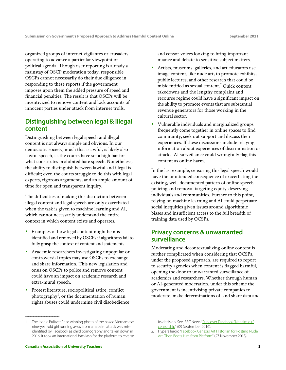organized groups of internet vigilantes or crusaders operating to advance a particular viewpoint or political agenda. Though user reporting is already a mainstay of OSCP moderation today, responsible OSCPs cannot necessarily do their due diligence in responding to these reports if the government imposes upon them the added pressure of speed and financial penalties. The result is that OSCPs will be incentivized to remove content and lock accounts of innocent parties under attack from internet trolls.

#### **Distinguishing between legal & illegal content**

Distinguishing between legal speech and illegal content is not always simple and obvious. In our democratic society, much that is awful, is likely also lawful speech, as the courts have set a high bar for what constitutes prohibited hate speech. Nonetheless, the ability to distinguish between lawful and illegal is difficult; even the courts struggle to do this with legal experts, rigorous arguments, and an ample amount of time for open and transparent inquiry.

The difficulties of making this distinction between illegal content and legal speech are only exacerbated when the task is given to machine learning and AI, which cannot necessarily understand the entire context in which content exists and operates.

- Examples of how legal content might be misidentified and removed by OSCPs if algorithms fail to fully grasp the context of content and statements.
- Academic researchers investigating unpopular or controversial topics may use OSCPs to exchange and share information. This new legislation and onus on OSCPs to police and remove content could have an impact on academic research and extra-mural speech.
- **Protest literature, sociopolitical satire, conflict** photography $^1$ , or the documentation of human rights abuses could undermine civil disobedience

and censor voices looking to bring important nuance and debate to sensitive subject matters.

- Artists, museums, galleries, and art educators use image content, like nude art, to promote exhibits, public lectures, and other research that could be misidentified as sexual content. $^2$  Quick content takedowns and the lengthy complaint and recourse regime could have a significant impact on the ability to promote events that are substantial revenue generators for those working in the cultural sector.
- Vulnerable individuals and marginalized groups frequently come together in online spaces to find community, seek out support and discuss their experiences. If these discussions include relaying information about experiences of discrimination or attacks, AI surveillance could wrongfully flag this content as online harm.

In the last example, censoring this legal speech would have the unintended consequence of exacerbating the existing, well-documented pattern of online speech policing and removal targeting equity-deserving individuals and communities. Further to this point, relying on machine learning and AI could perpetuate social inequities given issues around algorithmic biases and insufficient access to the full breadth of training data used by OCSPs.

#### **Privacy concerns & unwarranted surveillance**

Moderating and decontextualizing online content is further complicated when considering that OCSPs, under the proposed approach, are required to report to security agencies when content is flagged harmful, opening the door to unwarranted surveillance of academics and researchers. Whether through human or AI-generated moderation, under this scheme the government is incentivising private companies to moderate, make determinations of, and share data and

—————————————————————

<sup>1.</sup> The iconic Pulitzer Prize winning photo of the naked Vietnamese nine-year-old girl running away from a napalm attack was misidentified by Facebook as child pornography and taken down in 2016. It took an international backlash for the platform to reverse

its decision. See, BBC News "Fury over Facebook 'Napalm girl' censorship" (09 September 2016).

<sup>2.</sup> Hyperallergic "Facebook Censors Art Historian for Posting Nude Art, Then Boots Him from Platform" (27 November 2018).